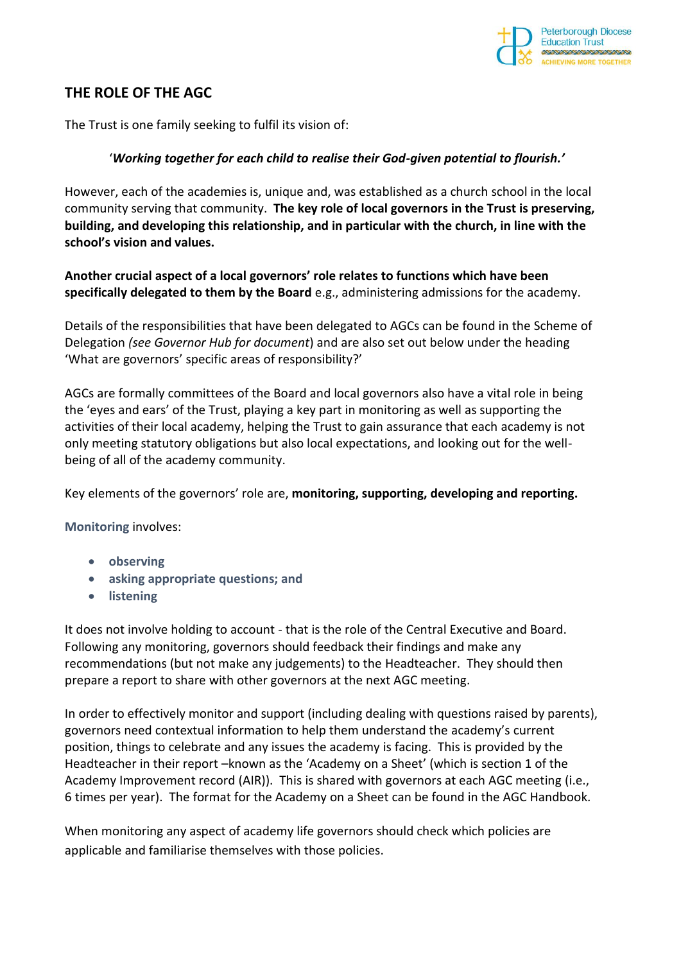

## **THE ROLE OF THE AGC**

The Trust is one family seeking to fulfil its vision of:

### '*Working together for each child to realise their God-given potential to flourish.'*

However, each of the academies is, unique and, was established as a church school in the local community serving that community. **The key role of local governors in the Trust is preserving, building, and developing this relationship, and in particular with the church, in line with the school's vision and values.**

### **Another crucial aspect of a local governors' role relates to functions which have been specifically delegated to them by the Board** e.g., administering admissions for the academy.

Details of the responsibilities that have been delegated to AGCs can be found in the Scheme of Delegation *(see Governor Hub for document*) and are also set out below under the heading 'What are governors' specific areas of responsibility?'

AGCs are formally committees of the Board and local governors also have a vital role in being the 'eyes and ears' of the Trust, playing a key part in monitoring as well as supporting the activities of their local academy, helping the Trust to gain assurance that each academy is not only meeting statutory obligations but also local expectations, and looking out for the wellbeing of all of the academy community.

Key elements of the governors' role are, **monitoring, supporting, developing and reporting.** 

**Monitoring** involves:

- **observing**
- **asking appropriate questions; and**
- **listening**

It does not involve holding to account - that is the role of the Central Executive and Board. Following any monitoring, governors should feedback their findings and make any recommendations (but not make any judgements) to the Headteacher. They should then prepare a report to share with other governors at the next AGC meeting.

In order to effectively monitor and support (including dealing with questions raised by parents), governors need contextual information to help them understand the academy's current position, things to celebrate and any issues the academy is facing. This is provided by the Headteacher in their report –known as the 'Academy on a Sheet' (which is section 1 of the Academy Improvement record (AIR)). This is shared with governors at each AGC meeting (i.e., 6 times per year). The format for the Academy on a Sheet can be found in the AGC Handbook*.*

When monitoring any aspect of academy life governors should check which policies are applicable and familiarise themselves with those policies.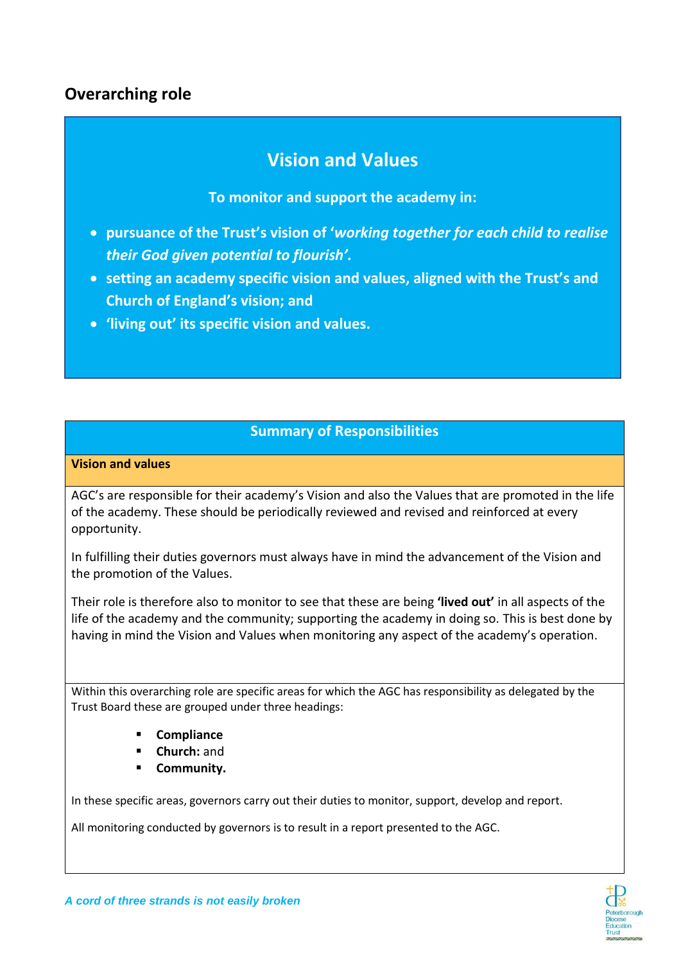## **Overarching role**

# **Vision and Values**

### **To monitor and support the academy in:**

- **pursuance of the Trust's vision of '***working together for each child to realise their God given potential to flourish'.*
- **setting an academy specific vision and values, aligned with the Trust's and Church of England's vision; and**
- **'living out' its specific vision and values.**

## **Summary of Responsibilities**

#### **Vision and values**

AGC's are responsible for their academy's Vision and also the Values that are promoted in the life of the academy. These should be periodically reviewed and revised and reinforced at every opportunity.

In fulfilling their duties governors must always have in mind the advancement of the Vision and the promotion of the Values.

Their role is therefore also to monitor to see that these are being **'lived out'** in all aspects of the life of the academy and the community; supporting the academy in doing so. This is best done by having in mind the Vision and Values when monitoring any aspect of the academy's operation.

Within this overarching role are specific areas for which the AGC has responsibility as delegated by the Trust Board these are grouped under three headings:

- **Compliance**
- **Church:** and
- **Community.**

In these specific areas, governors carry out their duties to monitor, support, develop and report.

All monitoring conducted by governors is to result in a report presented to the AGC.

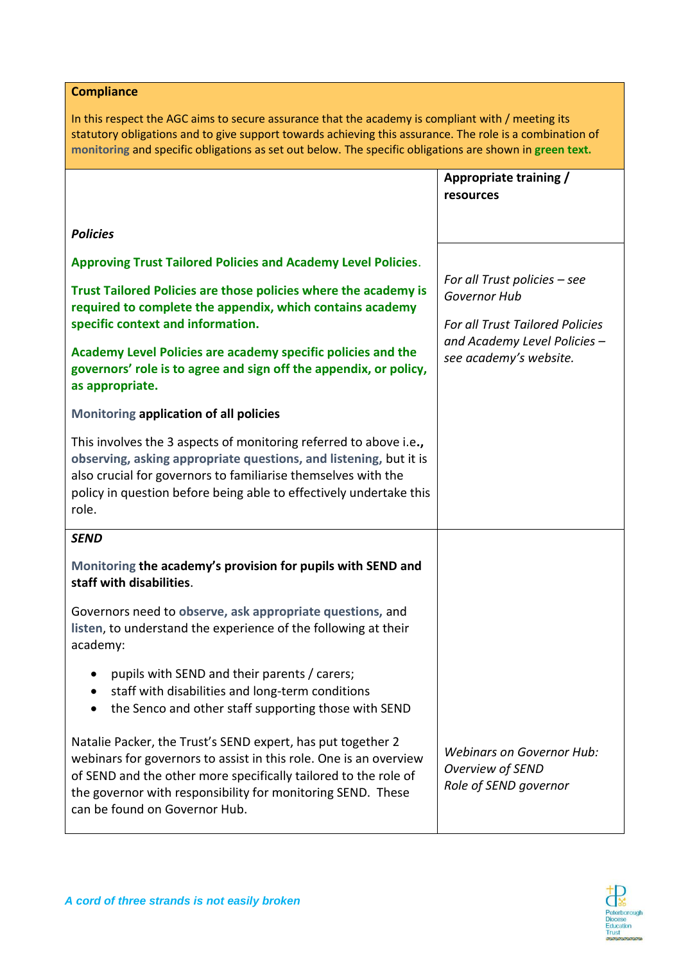**Compliance** 

In this respect the AGC aims to secure assurance that the academy is compliant with / meeting its statutory obligations and to give support towards achieving this assurance. The role is a combination of **monitoring** and specific obligations as set out below. The specific obligations are shown in **green text.**

|                                                                                                                                                                                                                                                                                                     | Appropriate training /<br>resources                                           |
|-----------------------------------------------------------------------------------------------------------------------------------------------------------------------------------------------------------------------------------------------------------------------------------------------------|-------------------------------------------------------------------------------|
| <b>Policies</b>                                                                                                                                                                                                                                                                                     |                                                                               |
| <b>Approving Trust Tailored Policies and Academy Level Policies.</b>                                                                                                                                                                                                                                |                                                                               |
| Trust Tailored Policies are those policies where the academy is<br>required to complete the appendix, which contains academy                                                                                                                                                                        | For all Trust policies $-$ see<br>Governor Hub                                |
| specific context and information.<br>Academy Level Policies are academy specific policies and the                                                                                                                                                                                                   | <b>For all Trust Tailored Policies</b><br>and Academy Level Policies -        |
| governors' role is to agree and sign off the appendix, or policy,<br>as appropriate.                                                                                                                                                                                                                | see academy's website.                                                        |
| Monitoring application of all policies                                                                                                                                                                                                                                                              |                                                                               |
| This involves the 3 aspects of monitoring referred to above i.e.,<br>observing, asking appropriate questions, and listening, but it is<br>also crucial for governors to familiarise themselves with the<br>policy in question before being able to effectively undertake this<br>role.              |                                                                               |
| <b>SEND</b>                                                                                                                                                                                                                                                                                         |                                                                               |
| Monitoring the academy's provision for pupils with SEND and<br>staff with disabilities.                                                                                                                                                                                                             |                                                                               |
| Governors need to observe, ask appropriate questions, and<br>listen, to understand the experience of the following at their<br>academy:                                                                                                                                                             |                                                                               |
| pupils with SEND and their parents / carers;<br>staff with disabilities and long-term conditions<br>the Senco and other staff supporting those with SEND                                                                                                                                            |                                                                               |
| Natalie Packer, the Trust's SEND expert, has put together 2<br>webinars for governors to assist in this role. One is an overview<br>of SEND and the other more specifically tailored to the role of<br>the governor with responsibility for monitoring SEND. These<br>can be found on Governor Hub. | <b>Webinars on Governor Hub:</b><br>Overview of SEND<br>Role of SEND governor |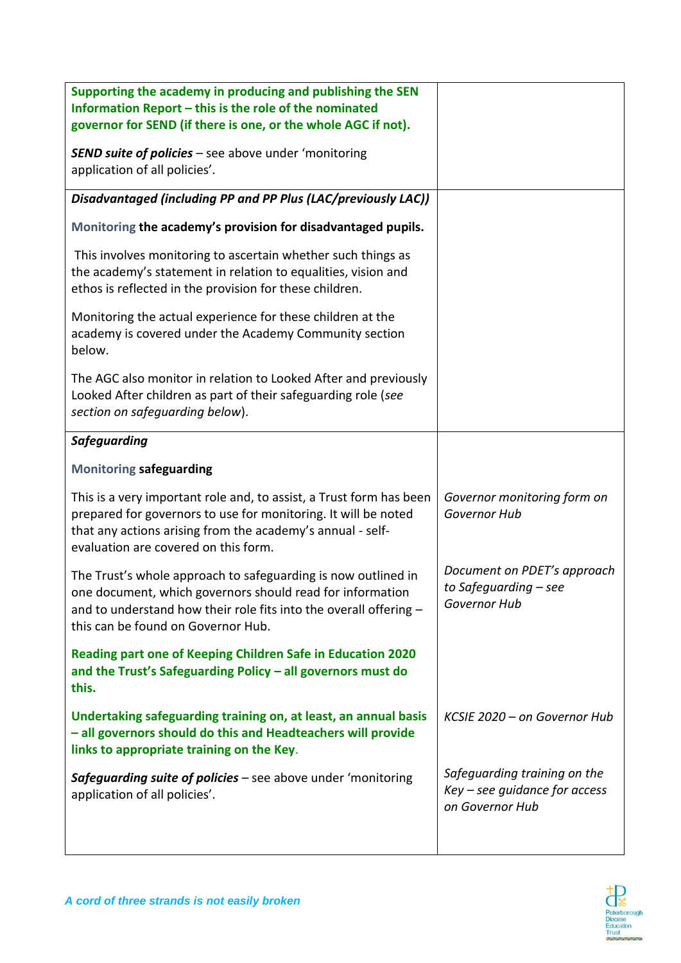| Supporting the academy in producing and publishing the SEN<br>Information Report - this is the role of the nominated                                                                                                                        |                                                                                    |
|---------------------------------------------------------------------------------------------------------------------------------------------------------------------------------------------------------------------------------------------|------------------------------------------------------------------------------------|
| governor for SEND (if there is one, or the whole AGC if not).                                                                                                                                                                               |                                                                                    |
| <b>SEND suite of policies</b> - see above under 'monitoring<br>application of all policies'.                                                                                                                                                |                                                                                    |
| Disadvantaged (including PP and PP Plus (LAC/previously LAC))                                                                                                                                                                               |                                                                                    |
| Monitoring the academy's provision for disadvantaged pupils.                                                                                                                                                                                |                                                                                    |
| This involves monitoring to ascertain whether such things as<br>the academy's statement in relation to equalities, vision and<br>ethos is reflected in the provision for these children.                                                    |                                                                                    |
| Monitoring the actual experience for these children at the<br>academy is covered under the Academy Community section<br>below.                                                                                                              |                                                                                    |
| The AGC also monitor in relation to Looked After and previously<br>Looked After children as part of their safeguarding role (see<br>section on safeguarding below).                                                                         |                                                                                    |
| <b>Safeguarding</b>                                                                                                                                                                                                                         |                                                                                    |
| <b>Monitoring safeguarding</b>                                                                                                                                                                                                              |                                                                                    |
| This is a very important role and, to assist, a Trust form has been<br>prepared for governors to use for monitoring. It will be noted<br>that any actions arising from the academy's annual - self-<br>evaluation are covered on this form. | Governor monitoring form on<br>Governor Hub                                        |
| The Trust's whole approach to safeguarding is now outlined in<br>one document, which governors should read for information<br>and to understand how their role fits into the overall offering -<br>this can be found on Governor Hub.       | Document on PDET's approach<br>to Safeguarding - see<br>Governor Hub               |
| Reading part one of Keeping Children Safe in Education 2020<br>and the Trust's Safeguarding Policy - all governors must do<br>this.                                                                                                         |                                                                                    |
| Undertaking safeguarding training on, at least, an annual basis<br>- all governors should do this and Headteachers will provide<br>links to appropriate training on the Key.                                                                | KCSIE 2020 - on Governor Hub                                                       |
| Safeguarding suite of policies - see above under 'monitoring<br>application of all policies'.                                                                                                                                               | Safeguarding training on the<br>$Key - see guidance for access$<br>on Governor Hub |
|                                                                                                                                                                                                                                             |                                                                                    |

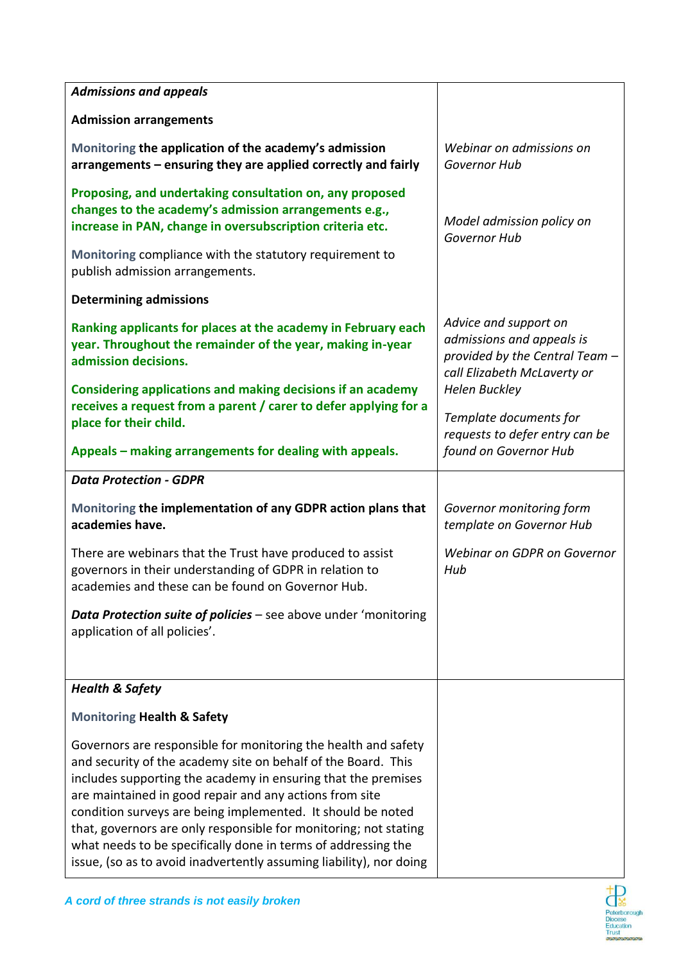| <b>Admissions and appeals</b>                                                                                                                                                                                                                                                                                                                                                                                                                                                                                                          |                                                                                                                     |
|----------------------------------------------------------------------------------------------------------------------------------------------------------------------------------------------------------------------------------------------------------------------------------------------------------------------------------------------------------------------------------------------------------------------------------------------------------------------------------------------------------------------------------------|---------------------------------------------------------------------------------------------------------------------|
| <b>Admission arrangements</b>                                                                                                                                                                                                                                                                                                                                                                                                                                                                                                          |                                                                                                                     |
| Monitoring the application of the academy's admission<br>arrangements – ensuring they are applied correctly and fairly                                                                                                                                                                                                                                                                                                                                                                                                                 | Webinar on admissions on<br>Governor Hub                                                                            |
| Proposing, and undertaking consultation on, any proposed<br>changes to the academy's admission arrangements e.g.,<br>increase in PAN, change in oversubscription criteria etc.                                                                                                                                                                                                                                                                                                                                                         | Model admission policy on<br><b>Governor Hub</b>                                                                    |
| Monitoring compliance with the statutory requirement to<br>publish admission arrangements.                                                                                                                                                                                                                                                                                                                                                                                                                                             |                                                                                                                     |
| <b>Determining admissions</b>                                                                                                                                                                                                                                                                                                                                                                                                                                                                                                          |                                                                                                                     |
| Ranking applicants for places at the academy in February each<br>year. Throughout the remainder of the year, making in-year<br>admission decisions.                                                                                                                                                                                                                                                                                                                                                                                    | Advice and support on<br>admissions and appeals is<br>provided by the Central Team -<br>call Elizabeth McLaverty or |
| Considering applications and making decisions if an academy<br>receives a request from a parent / carer to defer applying for a<br>place for their child.                                                                                                                                                                                                                                                                                                                                                                              | <b>Helen Buckley</b><br>Template documents for<br>requests to defer entry can be                                    |
| Appeals - making arrangements for dealing with appeals.                                                                                                                                                                                                                                                                                                                                                                                                                                                                                | found on Governor Hub                                                                                               |
| <b>Data Protection - GDPR</b>                                                                                                                                                                                                                                                                                                                                                                                                                                                                                                          |                                                                                                                     |
| Monitoring the implementation of any GDPR action plans that<br>academies have.                                                                                                                                                                                                                                                                                                                                                                                                                                                         | Governor monitoring form<br>template on Governor Hub                                                                |
| There are webinars that the Trust have produced to assist<br>governors in their understanding of GDPR in relation to<br>academies and these can be found on Governor Hub.                                                                                                                                                                                                                                                                                                                                                              | Webinar on GDPR on Governor<br>Hub                                                                                  |
| <b>Data Protection suite of policies</b> – see above under 'monitoring<br>application of all policies'.                                                                                                                                                                                                                                                                                                                                                                                                                                |                                                                                                                     |
| <b>Health &amp; Safety</b>                                                                                                                                                                                                                                                                                                                                                                                                                                                                                                             |                                                                                                                     |
| <b>Monitoring Health &amp; Safety</b>                                                                                                                                                                                                                                                                                                                                                                                                                                                                                                  |                                                                                                                     |
| Governors are responsible for monitoring the health and safety<br>and security of the academy site on behalf of the Board. This<br>includes supporting the academy in ensuring that the premises<br>are maintained in good repair and any actions from site<br>condition surveys are being implemented. It should be noted<br>that, governors are only responsible for monitoring; not stating<br>what needs to be specifically done in terms of addressing the<br>issue, (so as to avoid inadvertently assuming liability), nor doing |                                                                                                                     |

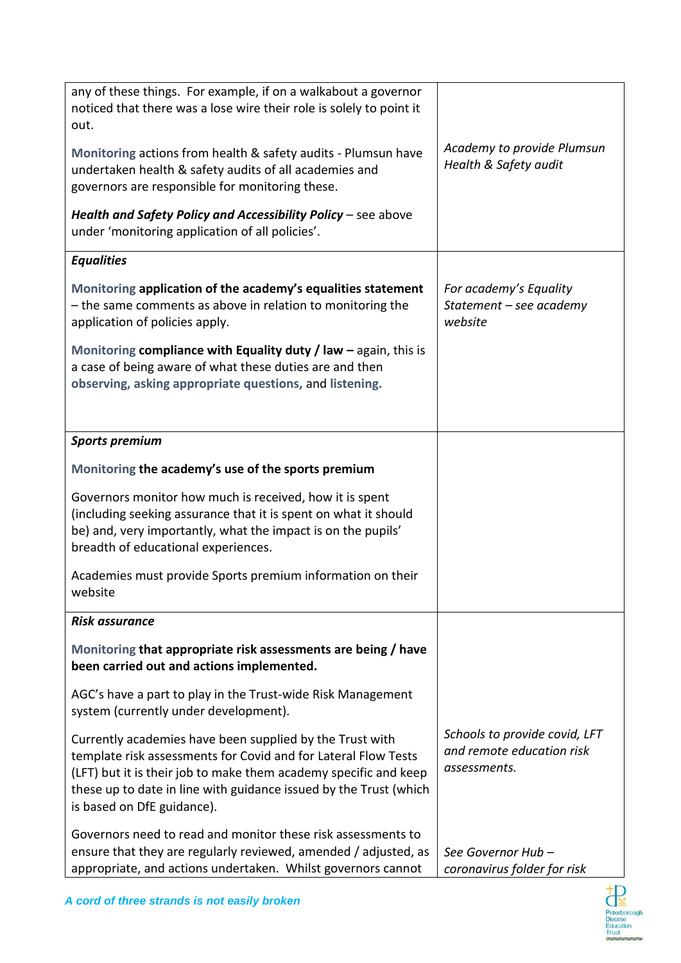| any of these things. For example, if on a walkabout a governor<br>noticed that there was a lose wire their role is solely to point it<br>out.                                                                                                                                                     | Academy to provide Plumsun                                                 |
|---------------------------------------------------------------------------------------------------------------------------------------------------------------------------------------------------------------------------------------------------------------------------------------------------|----------------------------------------------------------------------------|
| Monitoring actions from health & safety audits - Plumsun have<br>undertaken health & safety audits of all academies and<br>governors are responsible for monitoring these.                                                                                                                        | Health & Safety audit                                                      |
| Health and Safety Policy and Accessibility Policy - see above<br>under 'monitoring application of all policies'.                                                                                                                                                                                  |                                                                            |
| <b>Equalities</b>                                                                                                                                                                                                                                                                                 |                                                                            |
| Monitoring application of the academy's equalities statement<br>- the same comments as above in relation to monitoring the<br>application of policies apply.                                                                                                                                      | For academy's Equality<br>Statement - see academy<br>website               |
| Monitoring compliance with Equality duty / law $-$ again, this is<br>a case of being aware of what these duties are and then<br>observing, asking appropriate questions, and listening.                                                                                                           |                                                                            |
| <b>Sports premium</b>                                                                                                                                                                                                                                                                             |                                                                            |
| Monitoring the academy's use of the sports premium                                                                                                                                                                                                                                                |                                                                            |
| Governors monitor how much is received, how it is spent<br>(including seeking assurance that it is spent on what it should<br>be) and, very importantly, what the impact is on the pupils'<br>breadth of educational experiences.                                                                 |                                                                            |
| Academies must provide Sports premium information on their<br>website                                                                                                                                                                                                                             |                                                                            |
| <b>Risk assurance</b>                                                                                                                                                                                                                                                                             |                                                                            |
| Monitoring that appropriate risk assessments are being / have<br>been carried out and actions implemented.                                                                                                                                                                                        |                                                                            |
| AGC's have a part to play in the Trust-wide Risk Management<br>system (currently under development).                                                                                                                                                                                              |                                                                            |
| Currently academies have been supplied by the Trust with<br>template risk assessments for Covid and for Lateral Flow Tests<br>(LFT) but it is their job to make them academy specific and keep<br>these up to date in line with guidance issued by the Trust (which<br>is based on DfE guidance). | Schools to provide covid, LFT<br>and remote education risk<br>assessments. |
| Governors need to read and monitor these risk assessments to<br>ensure that they are regularly reviewed, amended / adjusted, as<br>appropriate, and actions undertaken. Whilst governors cannot                                                                                                   | See Governor Hub-<br>coronavirus folder for risk                           |

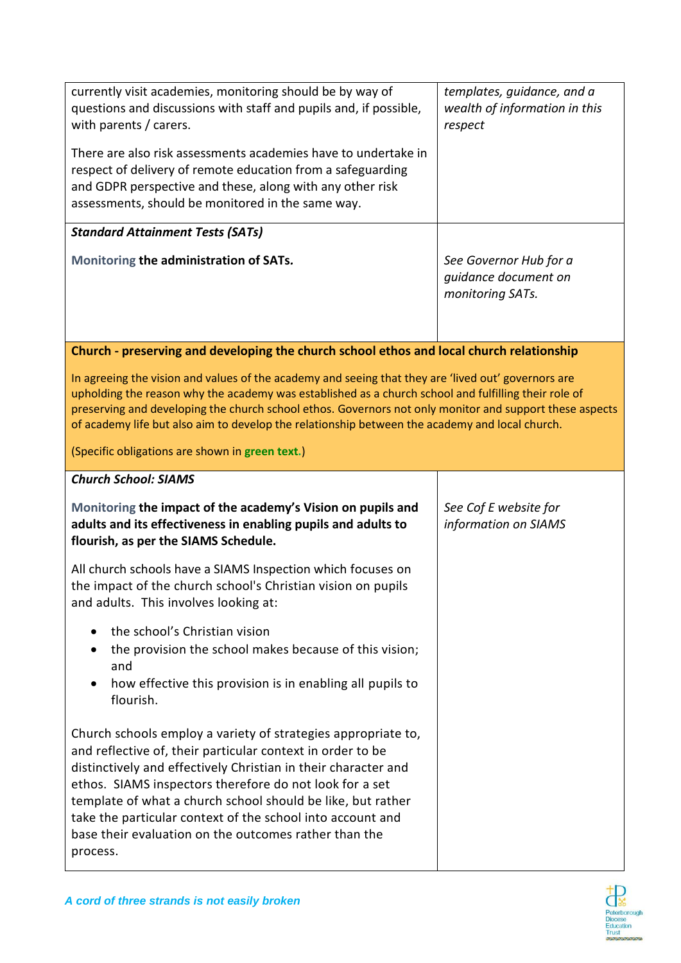| currently visit academies, monitoring should be by way of<br>questions and discussions with staff and pupils and, if possible,<br>with parents / carers.<br>There are also risk assessments academies have to undertake in<br>respect of delivery of remote education from a safeguarding<br>and GDPR perspective and these, along with any other risk<br>assessments, should be monitored in the same way.                                                | templates, guidance, and a<br>wealth of information in this<br>respect |
|------------------------------------------------------------------------------------------------------------------------------------------------------------------------------------------------------------------------------------------------------------------------------------------------------------------------------------------------------------------------------------------------------------------------------------------------------------|------------------------------------------------------------------------|
| <b>Standard Attainment Tests (SATs)</b>                                                                                                                                                                                                                                                                                                                                                                                                                    |                                                                        |
| Monitoring the administration of SATs.                                                                                                                                                                                                                                                                                                                                                                                                                     | See Governor Hub for a<br>guidance document on<br>monitoring SATs.     |
| Church - preserving and developing the church school ethos and local church relationship                                                                                                                                                                                                                                                                                                                                                                   |                                                                        |
| In agreeing the vision and values of the academy and seeing that they are 'lived out' governors are<br>upholding the reason why the academy was established as a church school and fulfilling their role of<br>preserving and developing the church school ethos. Governors not only monitor and support these aspects<br>of academy life but also aim to develop the relationship between the academy and local church.                                   |                                                                        |
| (Specific obligations are shown in green text.)                                                                                                                                                                                                                                                                                                                                                                                                            |                                                                        |
| <b>Church School: SIAMS</b>                                                                                                                                                                                                                                                                                                                                                                                                                                |                                                                        |
| Monitoring the impact of the academy's Vision on pupils and<br>adults and its effectiveness in enabling pupils and adults to<br>flourish, as per the SIAMS Schedule.                                                                                                                                                                                                                                                                                       | See Cof E website for<br>information on SIAMS                          |
| All church schools have a SIAMS Inspection which focuses on<br>the impact of the church school's Christian vision on pupils<br>and adults. This involves looking at:                                                                                                                                                                                                                                                                                       |                                                                        |
| the school's Christian vision<br>the provision the school makes because of this vision;<br>and<br>how effective this provision is in enabling all pupils to<br>flourish.                                                                                                                                                                                                                                                                                   |                                                                        |
| Church schools employ a variety of strategies appropriate to,<br>and reflective of, their particular context in order to be<br>distinctively and effectively Christian in their character and<br>ethos. SIAMS inspectors therefore do not look for a set<br>template of what a church school should be like, but rather<br>take the particular context of the school into account and<br>base their evaluation on the outcomes rather than the<br>process. |                                                                        |

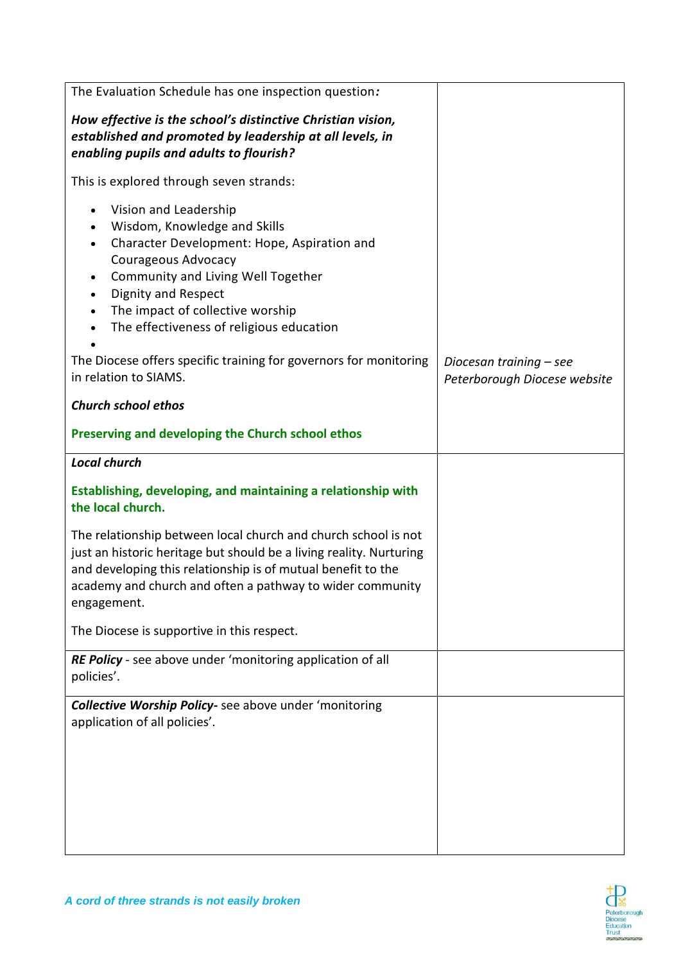| The Evaluation Schedule has one inspection question:                                                                                                                                                                                                                                                                                                          |                                                         |
|---------------------------------------------------------------------------------------------------------------------------------------------------------------------------------------------------------------------------------------------------------------------------------------------------------------------------------------------------------------|---------------------------------------------------------|
| How effective is the school's distinctive Christian vision,<br>established and promoted by leadership at all levels, in<br>enabling pupils and adults to flourish?                                                                                                                                                                                            |                                                         |
| This is explored through seven strands:                                                                                                                                                                                                                                                                                                                       |                                                         |
| Vision and Leadership<br>$\bullet$<br>Wisdom, Knowledge and Skills<br>$\bullet$<br>Character Development: Hope, Aspiration and<br>Courageous Advocacy<br>Community and Living Well Together<br>$\bullet$<br><b>Dignity and Respect</b><br>$\bullet$<br>The impact of collective worship<br>$\bullet$<br>The effectiveness of religious education<br>$\bullet$ |                                                         |
| The Diocese offers specific training for governors for monitoring<br>in relation to SIAMS.                                                                                                                                                                                                                                                                    | Diocesan training - see<br>Peterborough Diocese website |
| <b>Church school ethos</b>                                                                                                                                                                                                                                                                                                                                    |                                                         |
| Preserving and developing the Church school ethos                                                                                                                                                                                                                                                                                                             |                                                         |
| <b>Local church</b>                                                                                                                                                                                                                                                                                                                                           |                                                         |
| Establishing, developing, and maintaining a relationship with<br>the local church.                                                                                                                                                                                                                                                                            |                                                         |
| The relationship between local church and church school is not<br>just an historic heritage but should be a living reality. Nurturing<br>and developing this relationship is of mutual benefit to the<br>academy and church and often a pathway to wider community<br>engagement.                                                                             |                                                         |
| The Diocese is supportive in this respect.                                                                                                                                                                                                                                                                                                                    |                                                         |
| RE Policy - see above under 'monitoring application of all<br>policies'.                                                                                                                                                                                                                                                                                      |                                                         |
| <b>Collective Worship Policy-</b> see above under 'monitoring<br>application of all policies'.                                                                                                                                                                                                                                                                |                                                         |

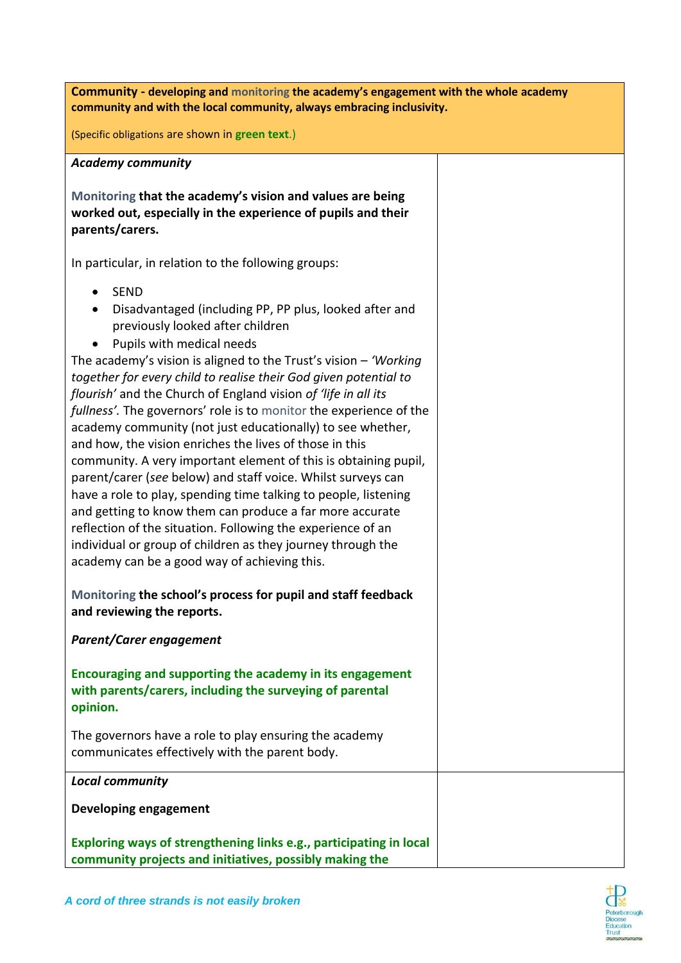| Community - developing and monitoring the academy's engagement with the whole academy<br>community and with the local community, always embracing inclusivity.                                                                                                                                                                                                                                                                                                                                                                                                                                                                                                                                                                                                                                                                                                                                                                                                                                                  |  |
|-----------------------------------------------------------------------------------------------------------------------------------------------------------------------------------------------------------------------------------------------------------------------------------------------------------------------------------------------------------------------------------------------------------------------------------------------------------------------------------------------------------------------------------------------------------------------------------------------------------------------------------------------------------------------------------------------------------------------------------------------------------------------------------------------------------------------------------------------------------------------------------------------------------------------------------------------------------------------------------------------------------------|--|
| (Specific obligations are shown in green text.)                                                                                                                                                                                                                                                                                                                                                                                                                                                                                                                                                                                                                                                                                                                                                                                                                                                                                                                                                                 |  |
| <b>Academy community</b>                                                                                                                                                                                                                                                                                                                                                                                                                                                                                                                                                                                                                                                                                                                                                                                                                                                                                                                                                                                        |  |
| Monitoring that the academy's vision and values are being<br>worked out, especially in the experience of pupils and their<br>parents/carers.                                                                                                                                                                                                                                                                                                                                                                                                                                                                                                                                                                                                                                                                                                                                                                                                                                                                    |  |
| In particular, in relation to the following groups:                                                                                                                                                                                                                                                                                                                                                                                                                                                                                                                                                                                                                                                                                                                                                                                                                                                                                                                                                             |  |
| <b>SEND</b><br>$\bullet$<br>Disadvantaged (including PP, PP plus, looked after and<br>previously looked after children<br>Pupils with medical needs<br>The academy's vision is aligned to the Trust's vision $-$ 'Working'<br>together for every child to realise their God given potential to<br>flourish' and the Church of England vision of 'life in all its<br>fullness'. The governors' role is to monitor the experience of the<br>academy community (not just educationally) to see whether,<br>and how, the vision enriches the lives of those in this<br>community. A very important element of this is obtaining pupil,<br>parent/carer (see below) and staff voice. Whilst surveys can<br>have a role to play, spending time talking to people, listening<br>and getting to know them can produce a far more accurate<br>reflection of the situation. Following the experience of an<br>individual or group of children as they journey through the<br>academy can be a good way of achieving this. |  |
| Monitoring the school's process for pupil and staff feedback<br>and reviewing the reports.                                                                                                                                                                                                                                                                                                                                                                                                                                                                                                                                                                                                                                                                                                                                                                                                                                                                                                                      |  |
| <b>Parent/Carer engagement</b>                                                                                                                                                                                                                                                                                                                                                                                                                                                                                                                                                                                                                                                                                                                                                                                                                                                                                                                                                                                  |  |
| Encouraging and supporting the academy in its engagement<br>with parents/carers, including the surveying of parental<br>opinion.                                                                                                                                                                                                                                                                                                                                                                                                                                                                                                                                                                                                                                                                                                                                                                                                                                                                                |  |
| The governors have a role to play ensuring the academy<br>communicates effectively with the parent body.                                                                                                                                                                                                                                                                                                                                                                                                                                                                                                                                                                                                                                                                                                                                                                                                                                                                                                        |  |
| <b>Local community</b>                                                                                                                                                                                                                                                                                                                                                                                                                                                                                                                                                                                                                                                                                                                                                                                                                                                                                                                                                                                          |  |
| Developing engagement                                                                                                                                                                                                                                                                                                                                                                                                                                                                                                                                                                                                                                                                                                                                                                                                                                                                                                                                                                                           |  |
| Exploring ways of strengthening links e.g., participating in local<br>community projects and initiatives, possibly making the                                                                                                                                                                                                                                                                                                                                                                                                                                                                                                                                                                                                                                                                                                                                                                                                                                                                                   |  |

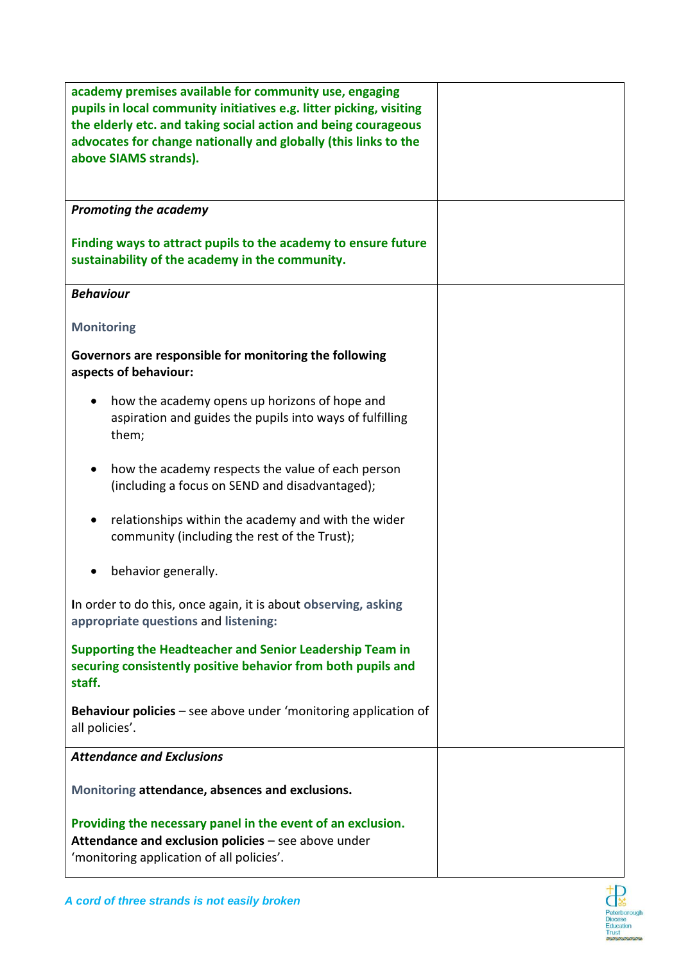| academy premises available for community use, engaging<br>pupils in local community initiatives e.g. litter picking, visiting<br>the elderly etc. and taking social action and being courageous<br>advocates for change nationally and globally (this links to the<br>above SIAMS strands).<br><b>Promoting the academy</b> |  |
|-----------------------------------------------------------------------------------------------------------------------------------------------------------------------------------------------------------------------------------------------------------------------------------------------------------------------------|--|
|                                                                                                                                                                                                                                                                                                                             |  |
| Finding ways to attract pupils to the academy to ensure future<br>sustainability of the academy in the community.                                                                                                                                                                                                           |  |
| <b>Behaviour</b>                                                                                                                                                                                                                                                                                                            |  |
| <b>Monitoring</b>                                                                                                                                                                                                                                                                                                           |  |
| Governors are responsible for monitoring the following<br>aspects of behaviour:                                                                                                                                                                                                                                             |  |
| how the academy opens up horizons of hope and<br>aspiration and guides the pupils into ways of fulfilling<br>them;                                                                                                                                                                                                          |  |
| how the academy respects the value of each person<br>(including a focus on SEND and disadvantaged);                                                                                                                                                                                                                         |  |
| relationships within the academy and with the wider<br>community (including the rest of the Trust);                                                                                                                                                                                                                         |  |
| behavior generally.                                                                                                                                                                                                                                                                                                         |  |
| In order to do this, once again, it is about observing, asking<br>appropriate questions and listening:                                                                                                                                                                                                                      |  |
| Supporting the Headteacher and Senior Leadership Team in<br>securing consistently positive behavior from both pupils and<br>staff.                                                                                                                                                                                          |  |
| Behaviour policies - see above under 'monitoring application of<br>all policies'.                                                                                                                                                                                                                                           |  |
| <b>Attendance and Exclusions</b>                                                                                                                                                                                                                                                                                            |  |
| Monitoring attendance, absences and exclusions.                                                                                                                                                                                                                                                                             |  |
| Providing the necessary panel in the event of an exclusion.<br>Attendance and exclusion policies - see above under<br>'monitoring application of all policies'.                                                                                                                                                             |  |